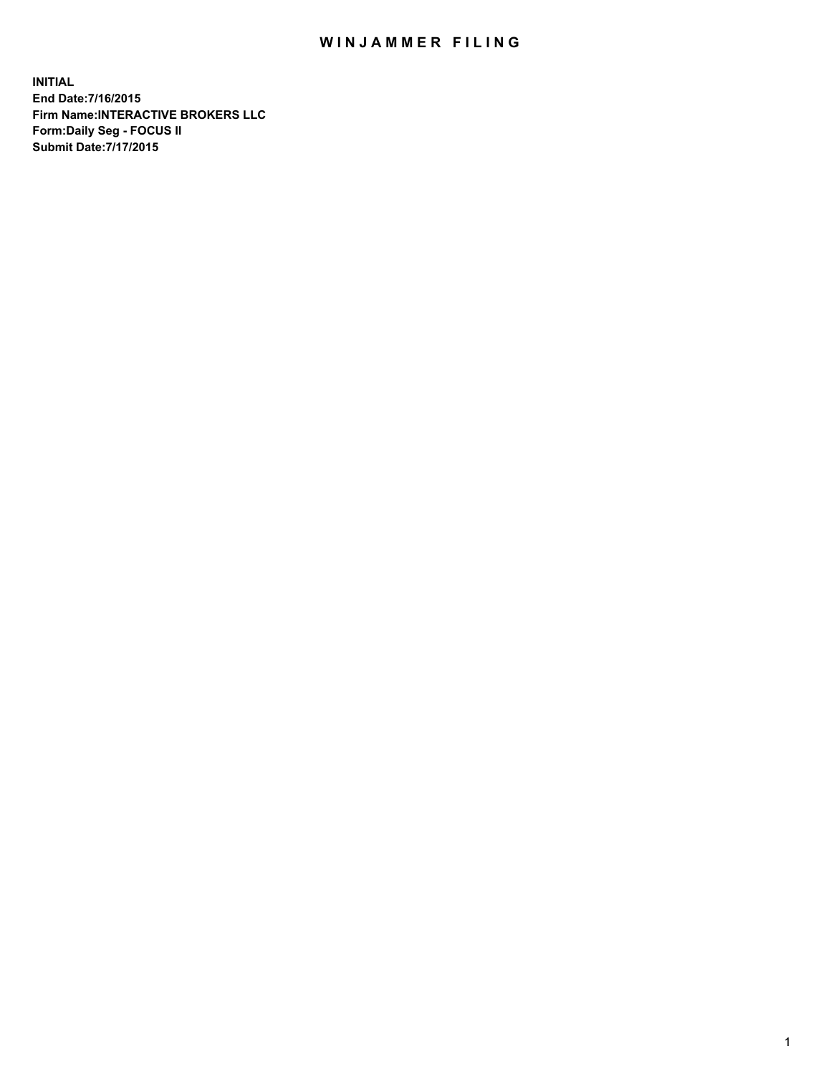## WIN JAMMER FILING

**INITIAL End Date:7/16/2015 Firm Name:INTERACTIVE BROKERS LLC Form:Daily Seg - FOCUS II Submit Date:7/17/2015**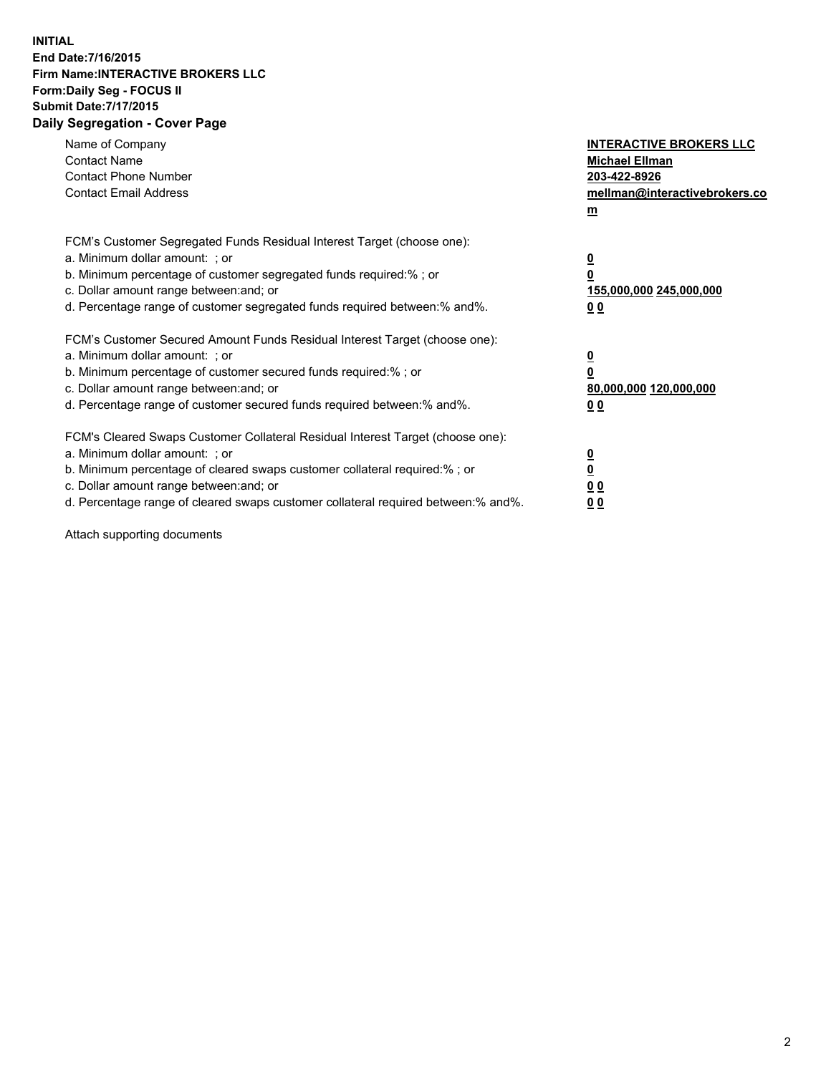## **INITIAL End Date:7/16/2015 Firm Name:INTERACTIVE BROKERS LLC Form:Daily Seg - FOCUS II Submit Date:7/17/2015 Daily Segregation - Cover Page**

| Name of Company<br><b>Contact Name</b><br><b>Contact Phone Number</b><br><b>Contact Email Address</b>                                                                                                                                                                                                                          | <b>INTERACTIVE BROKERS LLC</b><br><b>Michael Ellman</b><br>203-422-8926<br>mellman@interactivebrokers.co<br>$\underline{\mathbf{m}}$ |
|--------------------------------------------------------------------------------------------------------------------------------------------------------------------------------------------------------------------------------------------------------------------------------------------------------------------------------|--------------------------------------------------------------------------------------------------------------------------------------|
| FCM's Customer Segregated Funds Residual Interest Target (choose one):<br>a. Minimum dollar amount: ; or<br>b. Minimum percentage of customer segregated funds required:%; or<br>c. Dollar amount range between: and; or<br>d. Percentage range of customer segregated funds required between:% and%.                          | $\overline{\mathbf{0}}$<br>$\overline{\mathbf{0}}$<br>155,000,000 245,000,000<br>00                                                  |
| FCM's Customer Secured Amount Funds Residual Interest Target (choose one):<br>a. Minimum dollar amount: ; or<br>b. Minimum percentage of customer secured funds required:%; or<br>c. Dollar amount range between: and; or<br>d. Percentage range of customer secured funds required between: % and %.                          | $\overline{\mathbf{0}}$<br>$\mathbf 0$<br>80,000,000 120,000,000<br>00                                                               |
| FCM's Cleared Swaps Customer Collateral Residual Interest Target (choose one):<br>a. Minimum dollar amount: ; or<br>b. Minimum percentage of cleared swaps customer collateral required:% ; or<br>c. Dollar amount range between: and; or<br>d. Percentage range of cleared swaps customer collateral required between:% and%. | $\overline{\mathbf{0}}$<br>$\overline{\mathbf{0}}$<br>0 <sub>0</sub><br>0 <sub>0</sub>                                               |

Attach supporting documents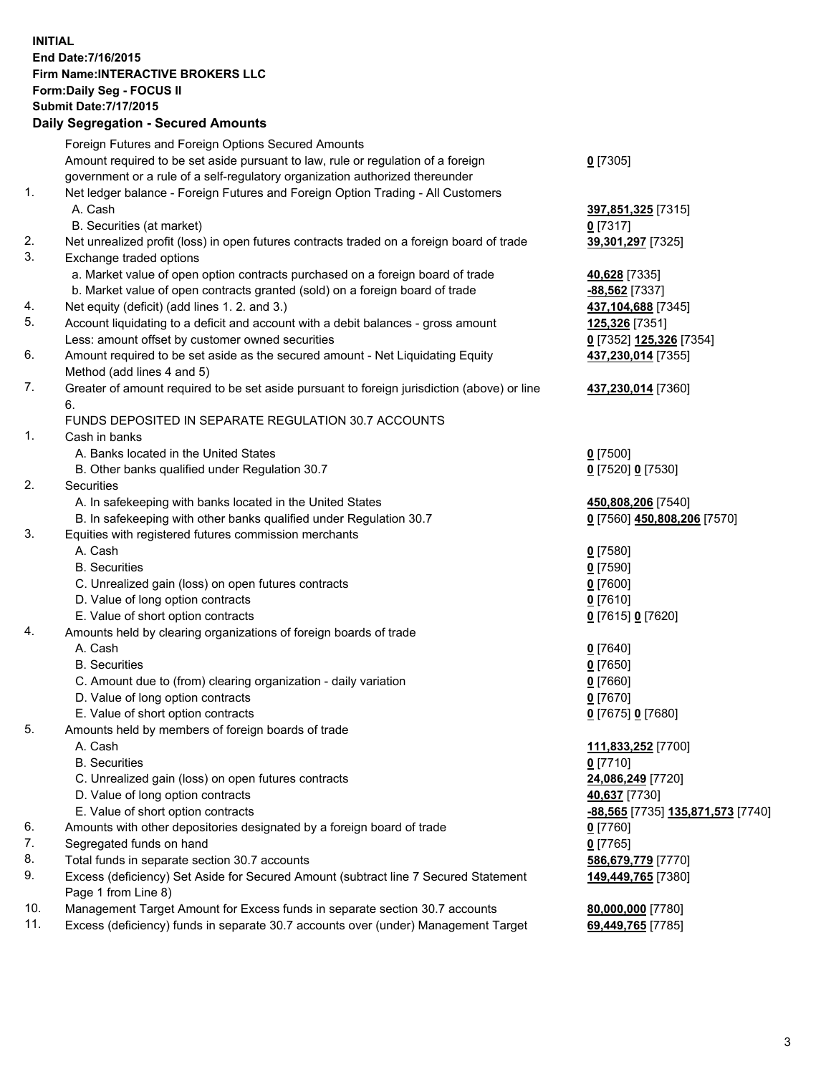## **INITIAL End Date:7/16/2015 Firm Name:INTERACTIVE BROKERS LLC Form:Daily Seg - FOCUS II Submit Date:7/17/2015 Daily Segregation - Secured Amounts**

|                | Daily Jegregation - Jeculed Aniounts                                                        |                                   |
|----------------|---------------------------------------------------------------------------------------------|-----------------------------------|
|                | Foreign Futures and Foreign Options Secured Amounts                                         |                                   |
|                | Amount required to be set aside pursuant to law, rule or regulation of a foreign            | $0$ [7305]                        |
|                | government or a rule of a self-regulatory organization authorized thereunder                |                                   |
| 1.             | Net ledger balance - Foreign Futures and Foreign Option Trading - All Customers             |                                   |
|                | A. Cash                                                                                     | 397,851,325 [7315]                |
|                | B. Securities (at market)                                                                   | $0$ [7317]                        |
| 2.             | Net unrealized profit (loss) in open futures contracts traded on a foreign board of trade   | 39,301,297 [7325]                 |
| 3.             | Exchange traded options                                                                     |                                   |
|                | a. Market value of open option contracts purchased on a foreign board of trade              | 40,628 [7335]                     |
|                | b. Market value of open contracts granted (sold) on a foreign board of trade                | -88,562 [7337]                    |
| 4.             | Net equity (deficit) (add lines 1. 2. and 3.)                                               | 437,104,688 [7345]                |
| 5.             | Account liquidating to a deficit and account with a debit balances - gross amount           | 125,326 [7351]                    |
|                | Less: amount offset by customer owned securities                                            | 0 [7352] 125,326 [7354]           |
| 6.             | Amount required to be set aside as the secured amount - Net Liquidating Equity              | 437,230,014 [7355]                |
|                | Method (add lines 4 and 5)                                                                  |                                   |
| 7.             | Greater of amount required to be set aside pursuant to foreign jurisdiction (above) or line | 437,230,014 [7360]                |
|                | 6.                                                                                          |                                   |
|                | FUNDS DEPOSITED IN SEPARATE REGULATION 30.7 ACCOUNTS                                        |                                   |
| $\mathbf{1}$ . | Cash in banks                                                                               |                                   |
|                | A. Banks located in the United States                                                       | $0$ [7500]                        |
|                | B. Other banks qualified under Regulation 30.7                                              | 0 [7520] 0 [7530]                 |
| 2.             | Securities                                                                                  |                                   |
|                | A. In safekeeping with banks located in the United States                                   | 450,808,206 [7540]                |
|                | B. In safekeeping with other banks qualified under Regulation 30.7                          | 0 [7560] 450,808,206 [7570]       |
| 3.             | Equities with registered futures commission merchants                                       |                                   |
|                | A. Cash                                                                                     | $0$ [7580]                        |
|                | <b>B.</b> Securities                                                                        | $0$ [7590]                        |
|                | C. Unrealized gain (loss) on open futures contracts                                         | $0$ [7600]                        |
|                | D. Value of long option contracts                                                           | $0$ [7610]                        |
|                | E. Value of short option contracts                                                          | 0 [7615] 0 [7620]                 |
| 4.             | Amounts held by clearing organizations of foreign boards of trade                           |                                   |
|                | A. Cash                                                                                     | $0$ [7640]                        |
|                | <b>B.</b> Securities                                                                        | $0$ [7650]                        |
|                | C. Amount due to (from) clearing organization - daily variation                             | $0$ [7660]                        |
|                | D. Value of long option contracts                                                           | $0$ [7670]                        |
|                | E. Value of short option contracts                                                          | 0 [7675] 0 [7680]                 |
| 5.             | Amounts held by members of foreign boards of trade                                          |                                   |
|                | A. Cash                                                                                     | 111,833,252 [7700]                |
|                | <b>B.</b> Securities                                                                        | $0$ [7710]                        |
|                | C. Unrealized gain (loss) on open futures contracts                                         | 24,086,249 [7720]                 |
|                | D. Value of long option contracts                                                           | 40,637 [7730]                     |
|                | E. Value of short option contracts                                                          | -88,565 [7735] 135,871,573 [7740] |
| 6.             | Amounts with other depositories designated by a foreign board of trade                      | 0 [7760]                          |
| 7.             | Segregated funds on hand                                                                    | $0$ [7765]                        |
| 8.             | Total funds in separate section 30.7 accounts                                               | 586,679,779 [7770]                |
| 9.             | Excess (deficiency) Set Aside for Secured Amount (subtract line 7 Secured Statement         | 149,449,765 [7380]                |
|                | Page 1 from Line 8)                                                                         |                                   |
| 10.            | Management Target Amount for Excess funds in separate section 30.7 accounts                 | 80,000,000 [7780]                 |
| 11.            | Excess (deficiency) funds in separate 30.7 accounts over (under) Management Target          | 69,449,765 [7785]                 |
|                |                                                                                             |                                   |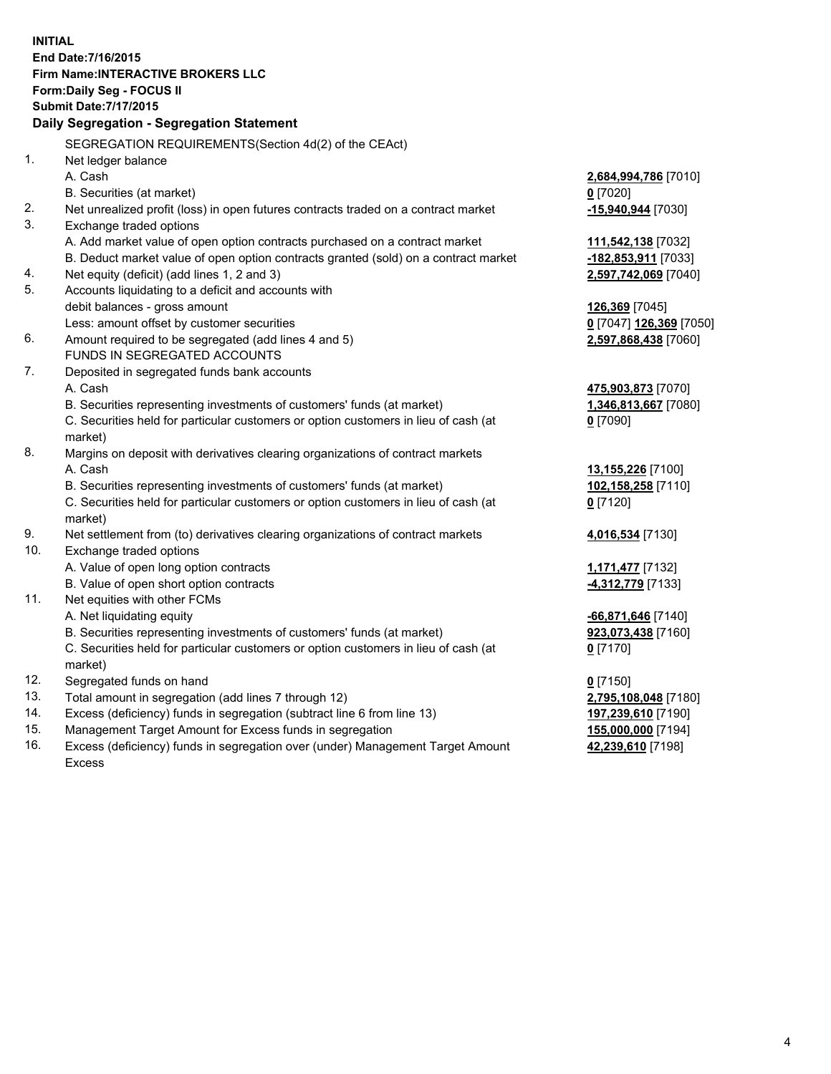**INITIAL End Date:7/16/2015 Firm Name:INTERACTIVE BROKERS LLC Form:Daily Seg - FOCUS II Submit Date:7/17/2015 Daily Segregation - Segregation Statement** SEGREGATION REQUIREMENTS(Section 4d(2) of the CEAct) 1. Net ledger balance A. Cash **2,684,994,786** [7010] B. Securities (at market) **0** [7020] 2. Net unrealized profit (loss) in open futures contracts traded on a contract market **-15,940,944** [7030] 3. Exchange traded options A. Add market value of open option contracts purchased on a contract market **111,542,138** [7032] B. Deduct market value of open option contracts granted (sold) on a contract market **-182,853,911** [7033] 4. Net equity (deficit) (add lines 1, 2 and 3) **2,597,742,069** [7040] 5. Accounts liquidating to a deficit and accounts with debit balances - gross amount **126,369** [7045] Less: amount offset by customer securities **0** [7047] **126,369** [7050] 6. Amount required to be segregated (add lines 4 and 5) **2,597,868,438** [7060] FUNDS IN SEGREGATED ACCOUNTS 7. Deposited in segregated funds bank accounts A. Cash **475,903,873** [7070] B. Securities representing investments of customers' funds (at market) **1,346,813,667** [7080] C. Securities held for particular customers or option customers in lieu of cash (at market) **0** [7090] 8. Margins on deposit with derivatives clearing organizations of contract markets A. Cash **13,155,226** [7100] B. Securities representing investments of customers' funds (at market) **102,158,258** [7110] C. Securities held for particular customers or option customers in lieu of cash (at market) **0** [7120] 9. Net settlement from (to) derivatives clearing organizations of contract markets **4,016,534** [7130] 10. Exchange traded options A. Value of open long option contracts **1,171,477** [7132] B. Value of open short option contracts **-4,312,779** [7133] 11. Net equities with other FCMs A. Net liquidating equity **-66,871,646** [7140] B. Securities representing investments of customers' funds (at market) **923,073,438** [7160] C. Securities held for particular customers or option customers in lieu of cash (at market) **0** [7170] 12. Segregated funds on hand **0** [7150] 13. Total amount in segregation (add lines 7 through 12) **2,795,108,048** [7180] 14. Excess (deficiency) funds in segregation (subtract line 6 from line 13) **197,239,610** [7190] 15. Management Target Amount for Excess funds in segregation **155,000,000** [7194]

16. Excess (deficiency) funds in segregation over (under) Management Target Amount Excess

**42,239,610** [7198]